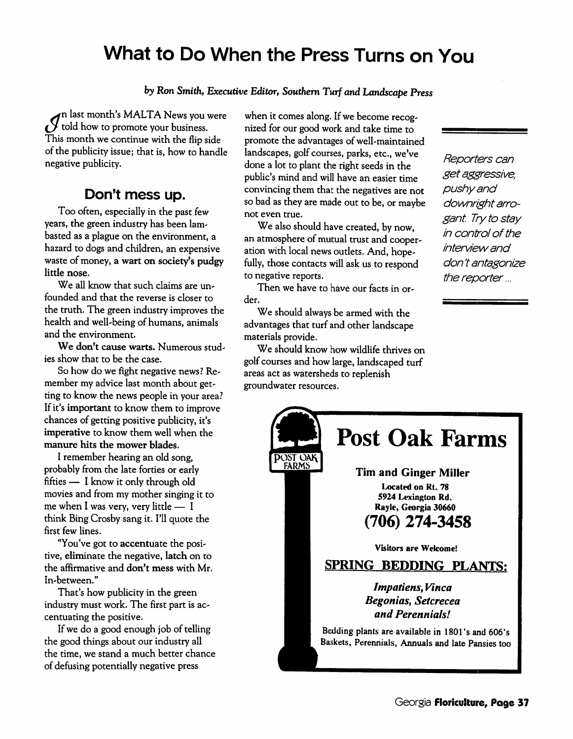# *What to Do When the Press Turns on You*

#### by Ron **Smith, Executive Editor, Southern Turf and Landscape Press**

**^jv\** last month's MALTA News you were  $\mathcal {Y}$  told how to promote your business. This month we continue with the flip side of the publicity issue; that is, how to handle negative publicity.

#### *Don't mess up.*

Too often, especially in the past few years, the green industry has been lam basted as a plague on the environment, a hazard to dogs and children, an expensive waste of money, a wart on society's pudgy little nose.

We all know that such claims are unfounded and that the reverse is closer to the truth. The green industry improves the health and well-being of humans, animals and the environment.

We don't cause warts. Numerous studies show that to be the case.

So how do we fight negative news? Re member my advice last month about getting to know the news people in your area? If it's important to know them to improve chances of getting positive publicity, it's imperative to know them well when the manure hits the mower blades.

I remember hearing an old song, probably from the late forties or early fifties — I know it only through old movies and from my mother singing it to me when I was very, very little  $-1$ think BingCrosbysang it. I'll quote the first few lines.

"You've got to accentuate the posi tive, eliminate the negative, latch on to the affirmative and don't mess with Mr. In-between."

That's how publicity in the green industry must work. The first part is ac centuating the positive.

If we do a good enough job of telling the good things about our industry all the time, we stand a much better chance of defusing potentially negative press

when it comes along. If we become recognized for our good work and take time to promote the advantages of well-maintained landscapes, golf courses, parks, etc., we've done a lot to plant the right seeds in the public's mind and will have an easier time convincing them that the negatives are not so bad as they are made out to be, or maybe not even true.

We also should have created, by now, an atmosphere of mutual trust and cooperation with local news outlets. And, hope fully, those contacts will ask us to respond to negative reports.

Then we have to have our facts in or der.

We should always be armed with the advantages that turf and other landscape materials provide.

We should know how wildlife thrives on golf courses and how large, landscaped turf areas act as watersheds to replenish groundwater resources.

**Reporters can getaggressive, pushyand downright arro gant. Try to stay in** control of the **interviewand don t antagonize the reporter...**

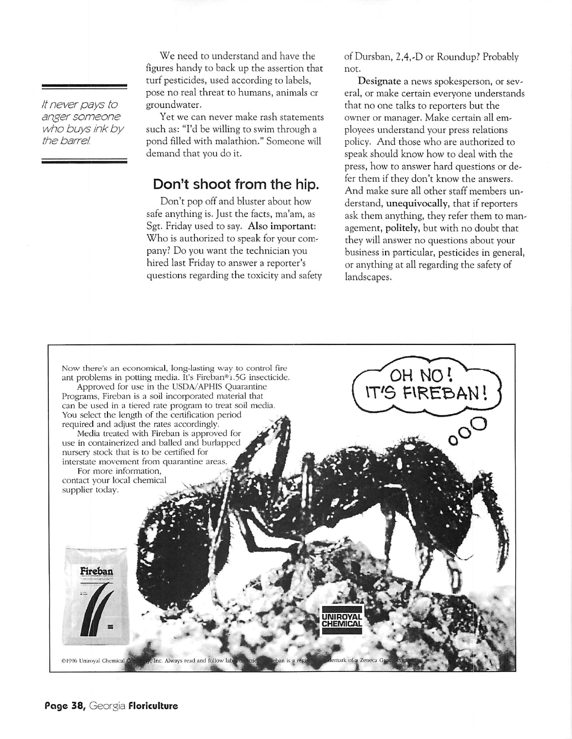**Itneverpays to anger someone who buys ink by the barrel.**

We need to understand and have the figures handy to back up the assertion that turf pesticides, used according to labels, pose no real threat to humans, animals or groundwater.

Yet we can never make rash statements such as: "I'd be willing to swim through a pond filled with malathion." Someone will demand that you do it.

### Don't shoot from the hip.

Don't pop off and bluster about how safe anything is. Just the facts, ma'am, as Sgt. Friday used to say. Also important: Who is authorized to speak for your com pany? Do you want the technician you hired last Friday to answer a reporter's questions regarding the toxicity and safety of Dursban, 2,4,-D or Roundup? Probably not.

Designate a news spokesperson, or sev eral, or make certain everyone understands that no one talks to reporters but the owner or manager. Make certain all em ployees understand your press relations policy. And those who are authorized to speak should know how to deal with the press, how to answer hard questions or de fer them if they don't know the answers. And make sure all other staff members un derstand, unequivocally, that if reporters ask them anything, they refer them to man agement, politely, but with no doubt that they will answer no questions about your business in particular, pesticides in general, or anything at all regarding the safety of landscapes.

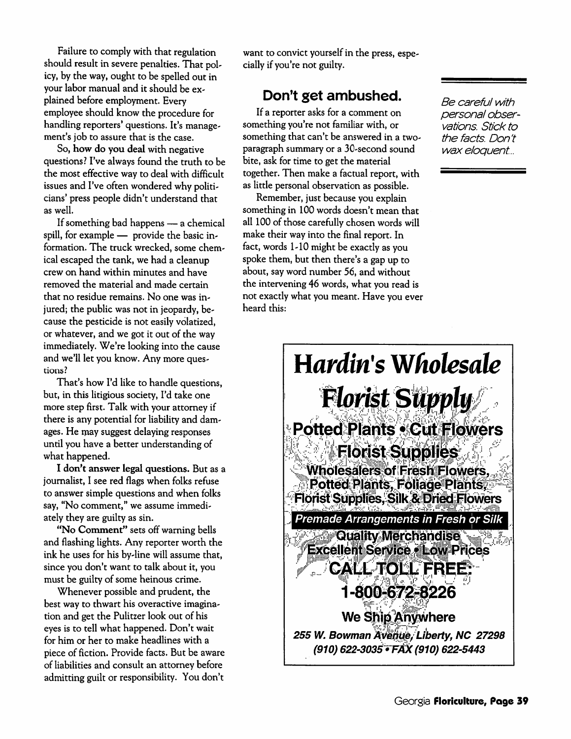Failure to comply with that regulation should result in severe penalties. That pol icy, by the way, ought to be spelled out in your labor manual and it should be ex plained before employment. Every employee should know the procedure for handling reporters' questions. It's management's job to assure that is the case.

So, *how do you deal* with negative questions? I've always found the truth to be the most effective way to deal with difficult issues and I've often wondered why politicians' press people didn't understand that as well.

If something bad happens — a chemical spill, for example — provide the basic in formation. The truck wrecked, some chem ical escaped the tank, we had a cleanup crew on hand within minutes and have removed the material and made certain that no residue remains. No one was in jured; the public was not in jeopardy, because the pesticide is not easilyvolatized, or whatever, and we got it out of the way immediately. We're looking into the cause and we'll let you know. Any more ques tions?

That's how I'd like to handle questions, but, in this litigious society, I'd take one more step first. Talk with your attorney if there is any potential for liability and dam ages. He may suggest delaying responses until you have a better understanding of what happened.

*I don't answer legal questions.* But as a journalist, I see red flags when folks refuse to answer simple questions and when folks say, "No comment," we assume immediately they are guilty as sin.

*"No Comment"* sets off warning bells and flashing lights. Any reporter worth the ink he uses for his by-line will assume that, since you don't want to talk about it, you must be guilty of some heinous crime.

Whenever possible and prudent, the best way to thwart his overactive imagina tion and get the Pulitzer look out of his eyes is to tell what happened. Don't wait for him or her to make headlines with a piece of fiction. Provide facts. But be aware of liabilities and consult an attorney before admitting guilt or responsibility. You don't

want to convict yourself in the press, especially if you're not guilty.

## *Don't get ambushed.*

If a reporter asks for a comment on something you're not familiar with, or something that can't be answered in a twoparagraph summary or a 30-second sound bite, ask for time to get the material together.Then make a factual report, with as little personal observation as possible.

Remember, just because you explain something in 100 words doesn't mean that all 100 of those carefully chosen words will make their way into the final report. In fact, words 1-10 might be exactly as you spoke them, but then there's a gap up to about, say word number 56, and without the intervening 46 words, what you read is not exactlywhat you meant. Have you ever heard this:

**Be careful with personal obser vations. Stick to the facts. Don't wax eloquent...**